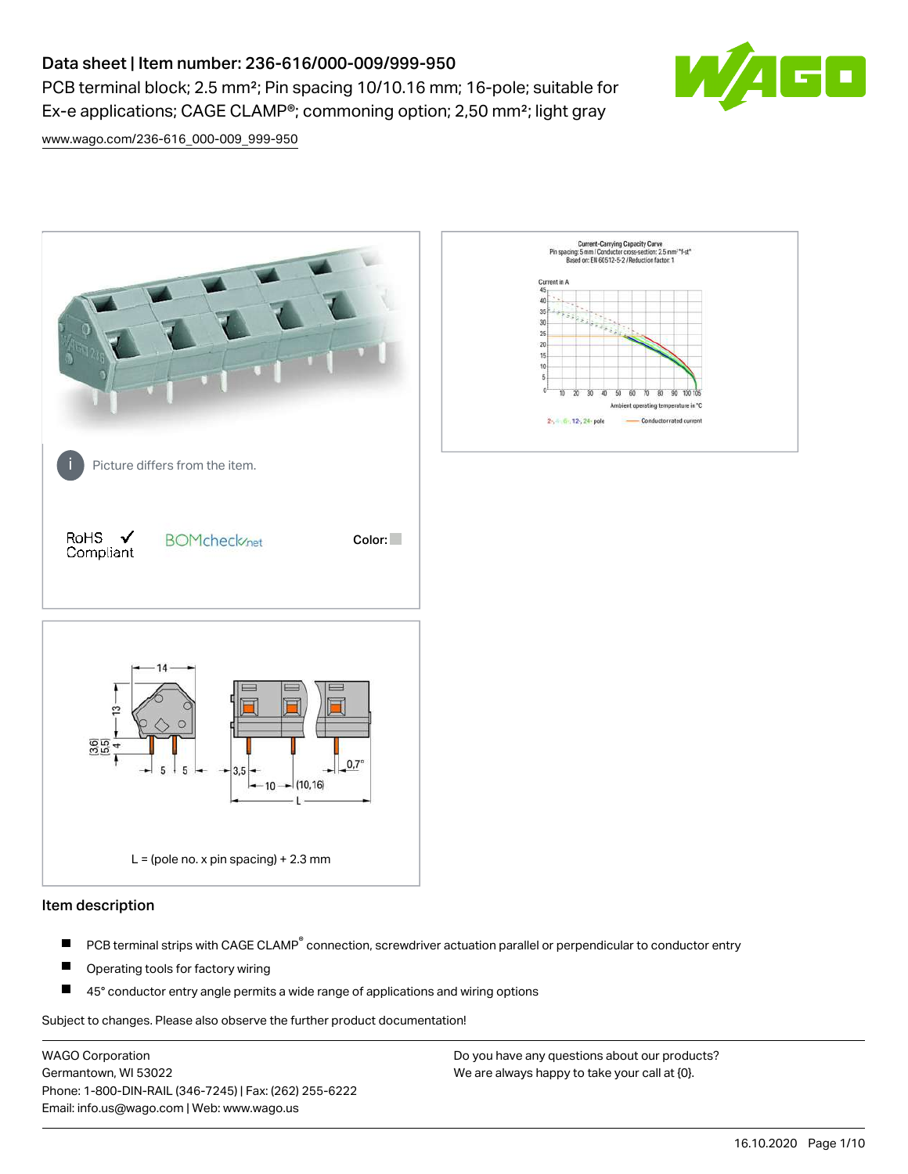# Data sheet | Item number: 236-616/000-009/999-950

PCB terminal block; 2.5 mm<sup>2</sup>; Pin spacing 10/10.16 mm; 16-pole; suitable for Ex-e applications; CAGE CLAMP®; commoning option; 2,50 mm²; light gray



[www.wago.com/236-616\\_000-009\\_999-950](http://www.wago.com/236-616_000-009_999-950)



## Item description

- PCB terminal strips with CAGE CLAMP<sup>®</sup> connection, screwdriver actuation parallel or perpendicular to conductor entry П
- П Operating tools for factory wiring
- П 45° conductor entry angle permits a wide range of applications and wiring options

Subject to changes. Please also observe the further product documentation!

WAGO Corporation Germantown, WI 53022 Phone: 1-800-DIN-RAIL (346-7245) | Fax: (262) 255-6222 Email: info.us@wago.com | Web: www.wago.us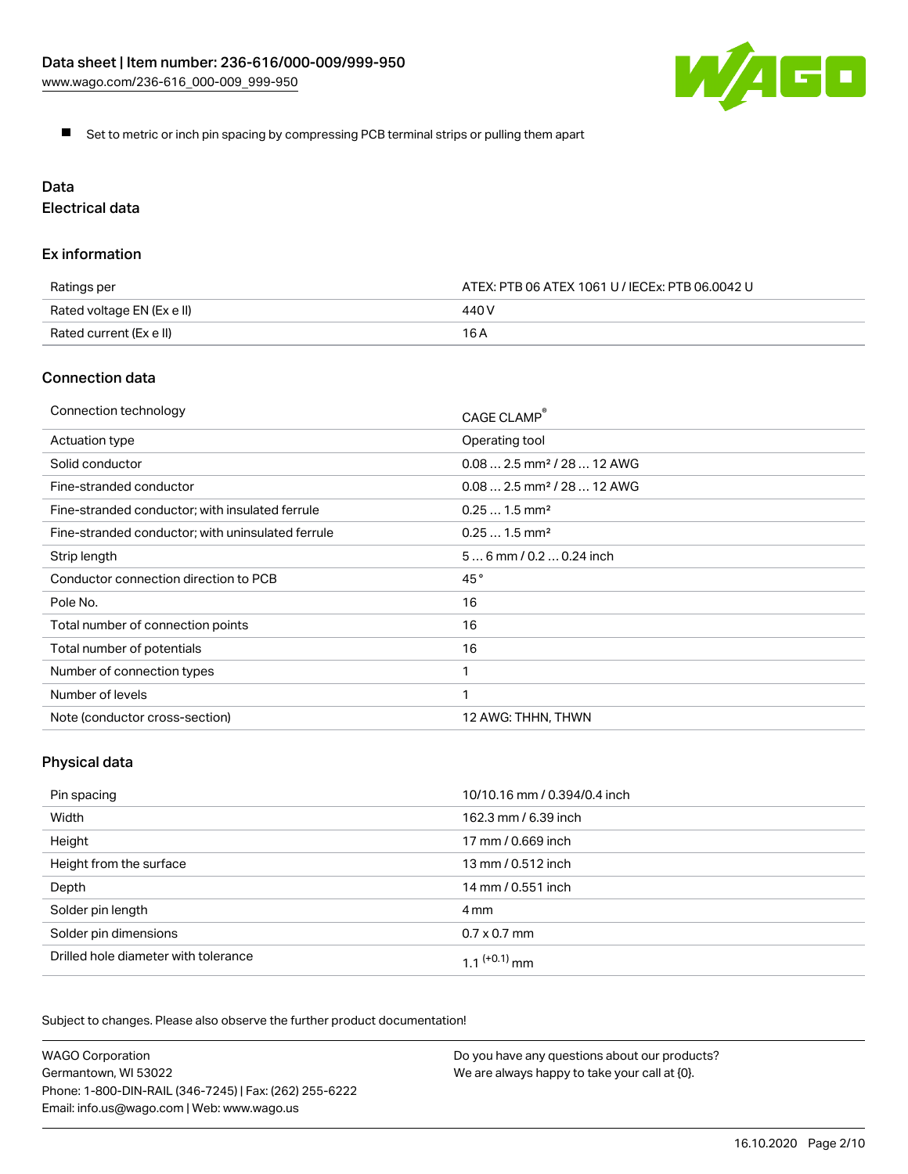

Set to metric or inch pin spacing by compressing PCB terminal strips or pulling them apart

# Data

Electrical data

## Ex information

| Ratings per                | ATEX: PTB 06 ATEX 1061 U / IECEx: PTB 06.0042 U |  |
|----------------------------|-------------------------------------------------|--|
| Rated voltage EN (Ex e II) | 440 V                                           |  |
| Rated current (Ex e II)    | 16 A                                            |  |

# Connection data

| Connection technology                             | CAGE CLAMP <sup>®</sup>                 |
|---------------------------------------------------|-----------------------------------------|
| Actuation type                                    | Operating tool                          |
| Solid conductor                                   | $0.08$ 2.5 mm <sup>2</sup> / 28  12 AWG |
| Fine-stranded conductor                           | $0.082.5$ mm <sup>2</sup> / 28  12 AWG  |
| Fine-stranded conductor; with insulated ferrule   | $0.251.5$ mm <sup>2</sup>               |
| Fine-stranded conductor; with uninsulated ferrule | $0.251.5$ mm <sup>2</sup>               |
| Strip length                                      | $56$ mm / 0.2  0.24 inch                |
| Conductor connection direction to PCB             | 45°                                     |
| Pole No.                                          | 16                                      |
| Total number of connection points                 | 16                                      |
| Total number of potentials                        | 16                                      |
| Number of connection types                        |                                         |
| Number of levels                                  | 1                                       |
| Note (conductor cross-section)                    | 12 AWG: THHN, THWN                      |

# Physical data

| Pin spacing                          | 10/10.16 mm / 0.394/0.4 inch |
|--------------------------------------|------------------------------|
| Width                                | 162.3 mm / 6.39 inch         |
| Height                               | 17 mm / 0.669 inch           |
| Height from the surface              | 13 mm / 0.512 inch           |
| Depth                                | 14 mm / 0.551 inch           |
| Solder pin length                    | 4 mm                         |
| Solder pin dimensions                | $0.7 \times 0.7$ mm          |
| Drilled hole diameter with tolerance | $1.1$ $(+0.1)$ mm            |

Subject to changes. Please also observe the further product documentation!

| <b>WAGO Corporation</b>                                | Do you have any questions about our products? |
|--------------------------------------------------------|-----------------------------------------------|
| Germantown, WI 53022                                   | We are always happy to take your call at {0}. |
| Phone: 1-800-DIN-RAIL (346-7245)   Fax: (262) 255-6222 |                                               |
| Email: info.us@wago.com   Web: www.wago.us             |                                               |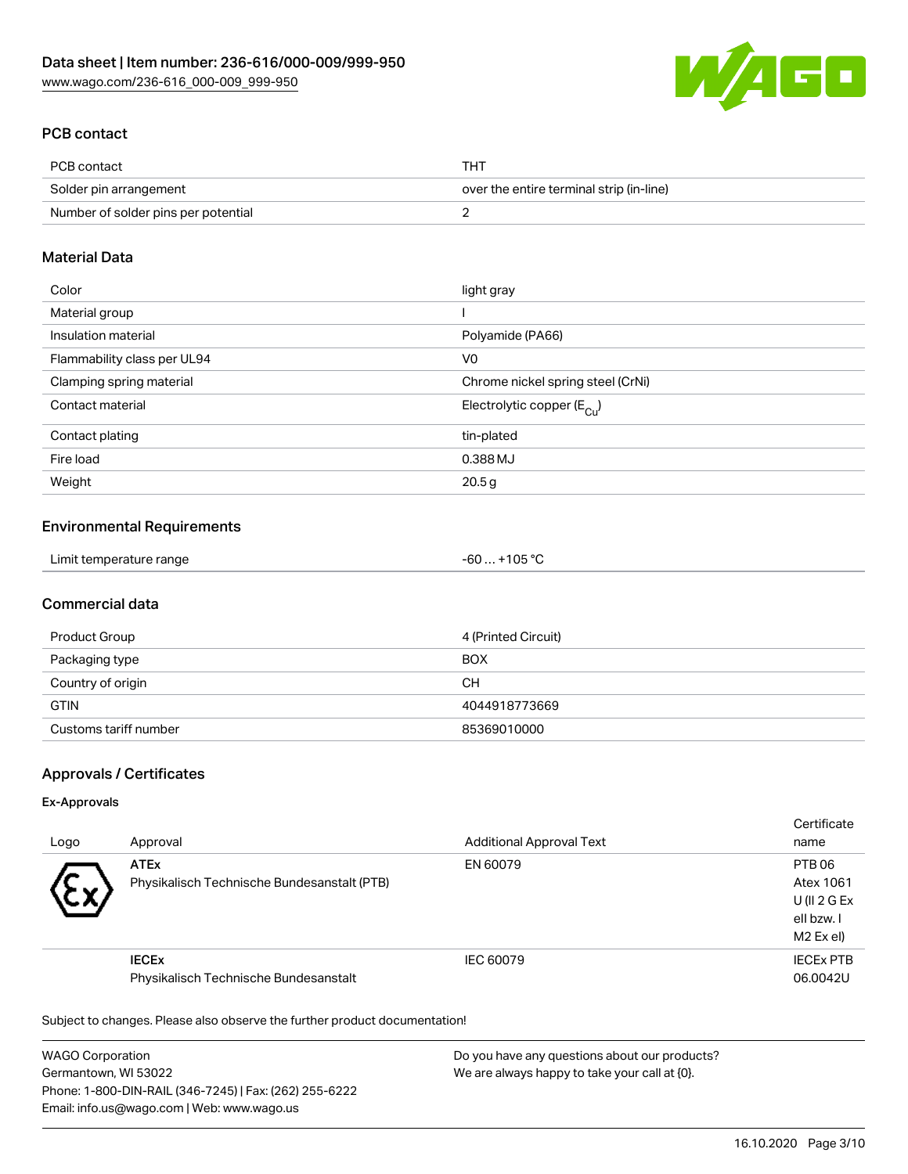

# PCB contact

| PCB contact                         | <b>THT</b>                               |
|-------------------------------------|------------------------------------------|
| Solder pin arrangement              | over the entire terminal strip (in-line) |
| Number of solder pins per potential |                                          |

## Material Data

| Color                       | light gray                             |
|-----------------------------|----------------------------------------|
| Material group              |                                        |
| Insulation material         | Polyamide (PA66)                       |
| Flammability class per UL94 | V <sub>0</sub>                         |
| Clamping spring material    | Chrome nickel spring steel (CrNi)      |
| Contact material            | Electrolytic copper $(E_{\text{Cul}})$ |
| Contact plating             | tin-plated                             |
| Fire load                   | 0.388 MJ                               |
| Weight                      | 20.5 <sub>g</sub>                      |

## Environmental Requirements

| Limit temperature range | . +105 °ົ<br>-60 … |
|-------------------------|--------------------|
|-------------------------|--------------------|

# Commercial data

| Product Group         | 4 (Printed Circuit) |
|-----------------------|---------------------|
| Packaging type        | <b>BOX</b>          |
| Country of origin     | CН                  |
| <b>GTIN</b>           | 4044918773669       |
| Customs tariff number | 85369010000         |

# Approvals / Certificates

#### Ex-Approvals

| Logo      | Approval                                                   | <b>Additional Approval Text</b> | Certificate<br>name                                           |
|-----------|------------------------------------------------------------|---------------------------------|---------------------------------------------------------------|
| $\ddot{}$ | <b>ATEx</b><br>Physikalisch Technische Bundesanstalt (PTB) | EN 60079                        | PTB 06<br>Atex 1061<br>U(II 2 G Ex<br>ell bzw. I<br>M2 Ex el) |
|           | <b>IECEX</b><br>Physikalisch Technische Bundesanstalt      | IEC 60079                       | <b>IECEX PTB</b><br>06.0042U                                  |

Subject to changes. Please also observe the further product documentation!

WAGO Corporation Germantown, WI 53022 Phone: 1-800-DIN-RAIL (346-7245) | Fax: (262) 255-6222 Email: info.us@wago.com | Web: www.wago.us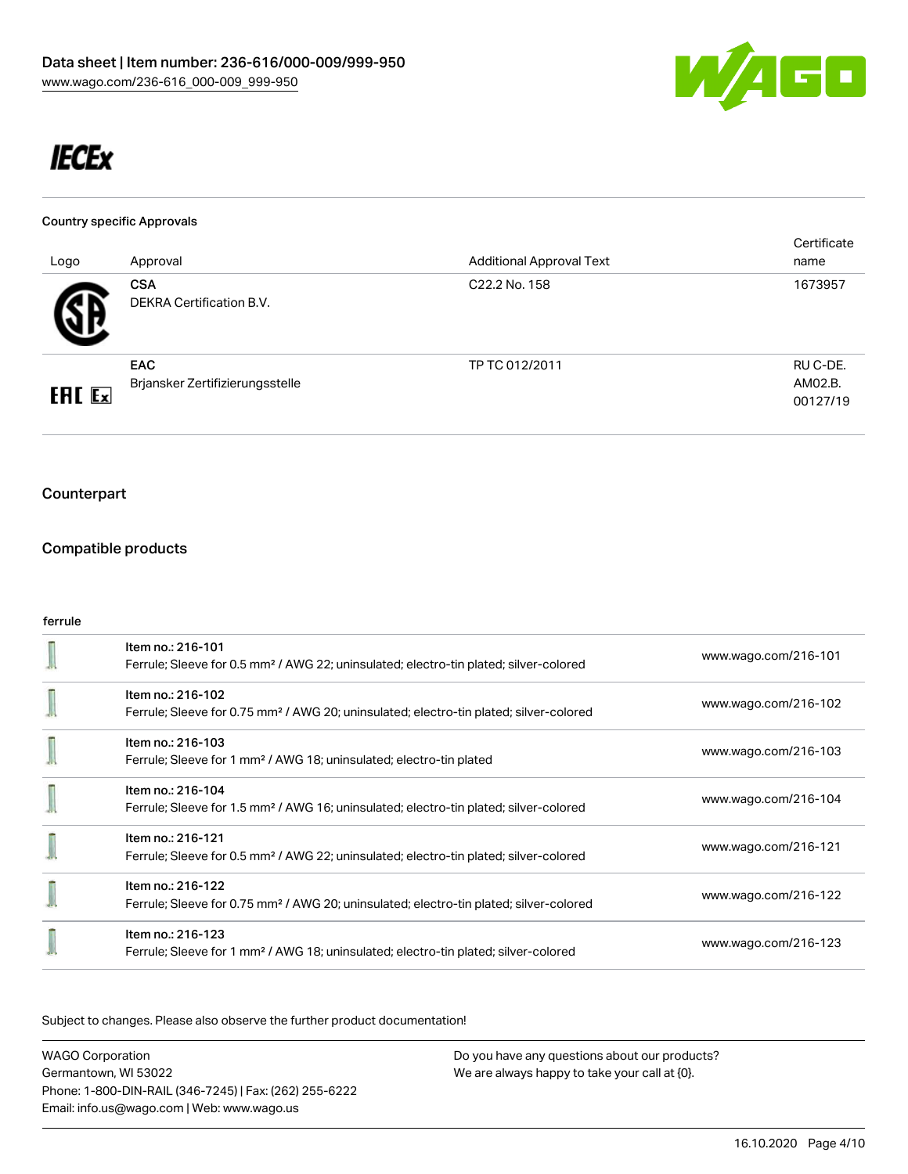

# **IECEx**

#### Country specific Approvals

| Logo          | Approval                                      | <b>Additional Approval Text</b> | Certificate<br>name             |
|---------------|-----------------------------------------------|---------------------------------|---------------------------------|
|               | <b>CSA</b><br><b>DEKRA Certification B.V.</b> | C <sub>22.2</sub> No. 158       | 1673957                         |
| <b>ERE</b> Ex | <b>EAC</b><br>Brjansker Zertifizierungsstelle | TP TC 012/2011                  | RU C-DE.<br>AM02.B.<br>00127/19 |

# Counterpart

# Compatible products

## ferrule

| Item no.: 216-101<br>Ferrule; Sleeve for 0.5 mm <sup>2</sup> / AWG 22; uninsulated; electro-tin plated; silver-colored  | www.wago.com/216-101 |
|-------------------------------------------------------------------------------------------------------------------------|----------------------|
| Item no.: 216-102<br>Ferrule; Sleeve for 0.75 mm <sup>2</sup> / AWG 20; uninsulated; electro-tin plated; silver-colored | www.wago.com/216-102 |
| Item no.: 216-103<br>Ferrule; Sleeve for 1 mm <sup>2</sup> / AWG 18; uninsulated; electro-tin plated                    | www.wago.com/216-103 |
| Item no.: 216-104<br>Ferrule; Sleeve for 1.5 mm <sup>2</sup> / AWG 16; uninsulated; electro-tin plated; silver-colored  | www.wago.com/216-104 |
| Item no.: 216-121<br>Ferrule; Sleeve for 0.5 mm <sup>2</sup> / AWG 22; uninsulated; electro-tin plated; silver-colored  | www.wago.com/216-121 |
| Item no.: 216-122<br>Ferrule; Sleeve for 0.75 mm <sup>2</sup> / AWG 20; uninsulated; electro-tin plated; silver-colored | www.wago.com/216-122 |
| Item no.: 216-123<br>Ferrule; Sleeve for 1 mm <sup>2</sup> / AWG 18; uninsulated; electro-tin plated; silver-colored    | www.wago.com/216-123 |

Subject to changes. Please also observe the further product documentation!

WAGO Corporation Germantown, WI 53022 Phone: 1-800-DIN-RAIL (346-7245) | Fax: (262) 255-6222 Email: info.us@wago.com | Web: www.wago.us Do you have any questions about our products? We are always happy to take your call at {0}.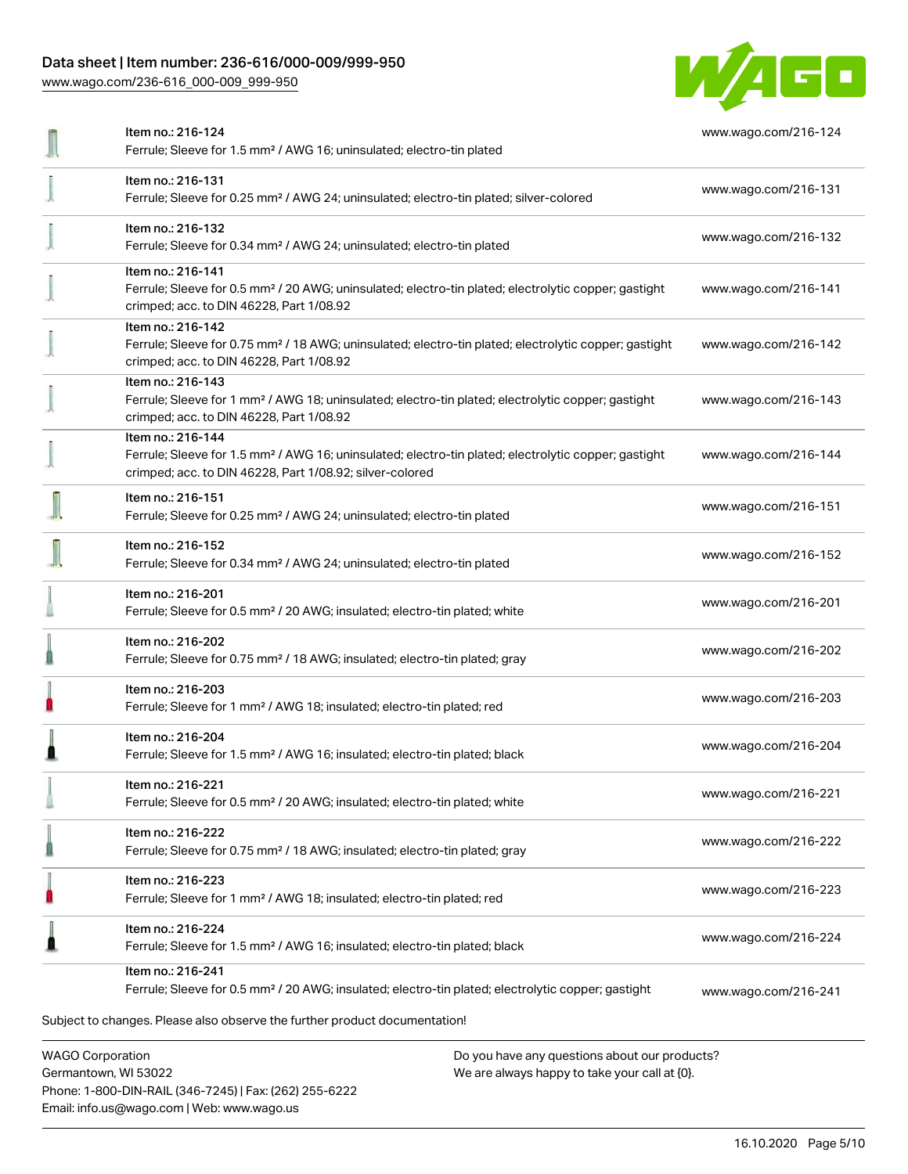# Data sheet | Item number: 236-616/000-009/999-950

Phone: 1-800-DIN-RAIL (346-7245) | Fax: (262) 255-6222

Email: info.us@wago.com | Web: www.wago.us

[www.wago.com/236-616\\_000-009\\_999-950](http://www.wago.com/236-616_000-009_999-950)



|                                                 | Item no.: 216-124<br>Ferrule; Sleeve for 1.5 mm <sup>2</sup> / AWG 16; uninsulated; electro-tin plated                                                                                            | www.wago.com/216-124 |
|-------------------------------------------------|---------------------------------------------------------------------------------------------------------------------------------------------------------------------------------------------------|----------------------|
|                                                 | Item no.: 216-131<br>Ferrule; Sleeve for 0.25 mm <sup>2</sup> / AWG 24; uninsulated; electro-tin plated; silver-colored                                                                           | www.wago.com/216-131 |
|                                                 | Item no.: 216-132<br>Ferrule; Sleeve for 0.34 mm <sup>2</sup> / AWG 24; uninsulated; electro-tin plated                                                                                           | www.wago.com/216-132 |
|                                                 | Item no.: 216-141<br>Ferrule; Sleeve for 0.5 mm <sup>2</sup> / 20 AWG; uninsulated; electro-tin plated; electrolytic copper; gastight<br>crimped; acc. to DIN 46228, Part 1/08.92                 | www.wago.com/216-141 |
|                                                 | Item no.: 216-142<br>Ferrule; Sleeve for 0.75 mm <sup>2</sup> / 18 AWG; uninsulated; electro-tin plated; electrolytic copper; gastight<br>crimped; acc. to DIN 46228, Part 1/08.92                | www.wago.com/216-142 |
|                                                 | Item no.: 216-143<br>Ferrule; Sleeve for 1 mm <sup>2</sup> / AWG 18; uninsulated; electro-tin plated; electrolytic copper; gastight<br>crimped; acc. to DIN 46228, Part 1/08.92                   | www.wago.com/216-143 |
|                                                 | Item no.: 216-144<br>Ferrule; Sleeve for 1.5 mm <sup>2</sup> / AWG 16; uninsulated; electro-tin plated; electrolytic copper; gastight<br>crimped; acc. to DIN 46228, Part 1/08.92; silver-colored | www.wago.com/216-144 |
|                                                 | Item no.: 216-151<br>Ferrule; Sleeve for 0.25 mm <sup>2</sup> / AWG 24; uninsulated; electro-tin plated                                                                                           | www.wago.com/216-151 |
|                                                 | Item no.: 216-152<br>Ferrule; Sleeve for 0.34 mm <sup>2</sup> / AWG 24; uninsulated; electro-tin plated                                                                                           | www.wago.com/216-152 |
|                                                 | Item no.: 216-201<br>Ferrule; Sleeve for 0.5 mm <sup>2</sup> / 20 AWG; insulated; electro-tin plated; white                                                                                       | www.wago.com/216-201 |
|                                                 | Item no.: 216-202<br>Ferrule; Sleeve for 0.75 mm <sup>2</sup> / 18 AWG; insulated; electro-tin plated; gray                                                                                       | www.wago.com/216-202 |
|                                                 | Item no.: 216-203<br>Ferrule; Sleeve for 1 mm <sup>2</sup> / AWG 18; insulated; electro-tin plated; red                                                                                           | www.wago.com/216-203 |
|                                                 | Item no.: 216-204<br>Ferrule; Sleeve for 1.5 mm <sup>2</sup> / AWG 16; insulated; electro-tin plated; black                                                                                       | www.wago.com/216-204 |
|                                                 | Item no.: 216-221<br>Ferrule; Sleeve for 0.5 mm <sup>2</sup> / 20 AWG; insulated; electro-tin plated; white                                                                                       | www.wago.com/216-221 |
|                                                 | Item no.: 216-222<br>Ferrule; Sleeve for 0.75 mm <sup>2</sup> / 18 AWG; insulated; electro-tin plated; gray                                                                                       | www.wago.com/216-222 |
|                                                 | Item no.: 216-223<br>Ferrule; Sleeve for 1 mm <sup>2</sup> / AWG 18; insulated; electro-tin plated; red                                                                                           | www.wago.com/216-223 |
|                                                 | Item no.: 216-224<br>Ferrule; Sleeve for 1.5 mm <sup>2</sup> / AWG 16; insulated; electro-tin plated; black                                                                                       | www.wago.com/216-224 |
|                                                 | Item no.: 216-241<br>Ferrule; Sleeve for 0.5 mm <sup>2</sup> / 20 AWG; insulated; electro-tin plated; electrolytic copper; gastight                                                               | www.wago.com/216-241 |
|                                                 | Subject to changes. Please also observe the further product documentation!                                                                                                                        |                      |
| <b>WAGO Corporation</b><br>Germantown, WI 53022 | Do you have any questions about our products?<br>We are always happy to take your call at {0}.                                                                                                    |                      |

16.10.2020 Page 5/10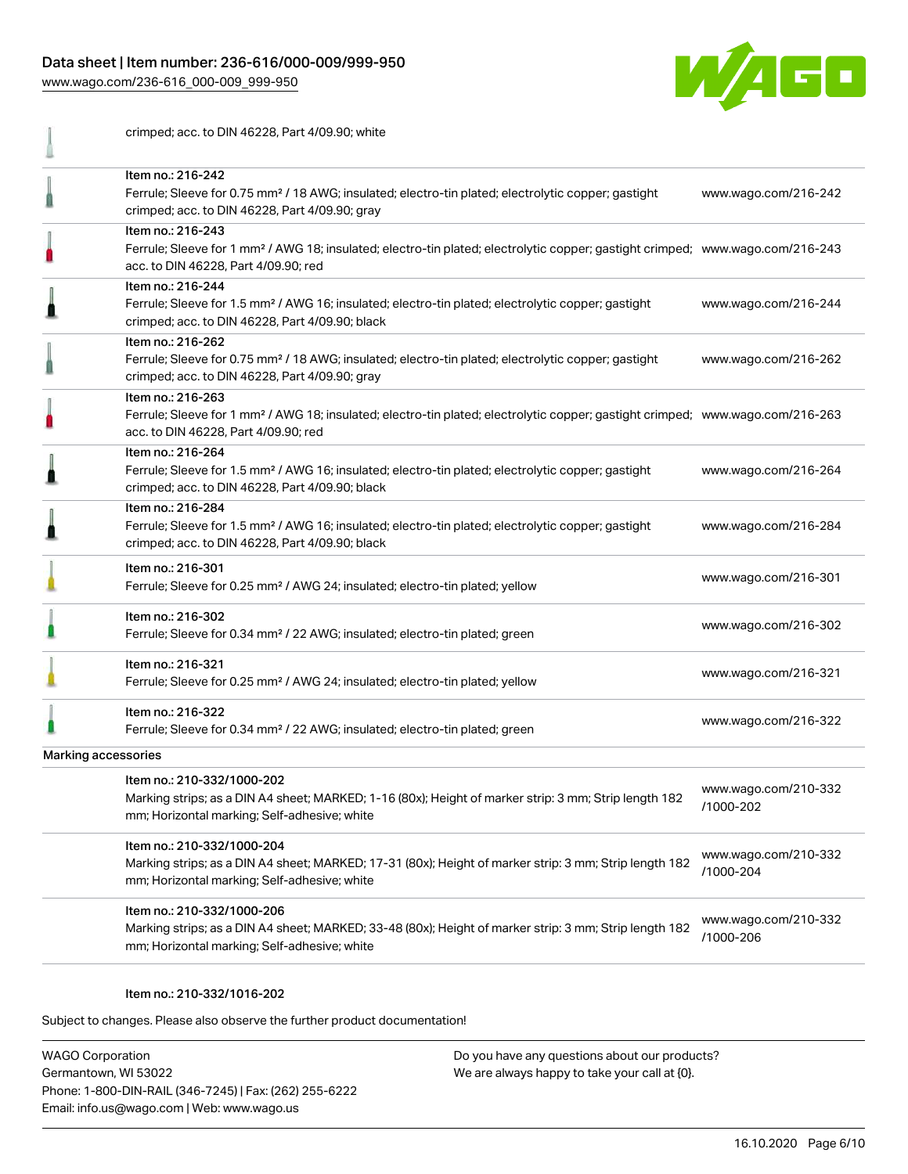## Data sheet | Item number: 236-616/000-009/999-950

[www.wago.com/236-616\\_000-009\\_999-950](http://www.wago.com/236-616_000-009_999-950)



crimped; acc. to DIN 46228, Part 4/09.90; white Item no.: 216-242 Ferrule; Sleeve for 0.75 mm² / 18 AWG; insulated; electro-tin plated; electrolytic copper; gastight [www.wago.com/216-242](http://www.wago.com/216-242) ₫ crimped; acc. to DIN 46228, Part 4/09.90; gray Item no.: 216-243 Ferrule; Sleeve for 1 mm² / AWG 18; insulated; electro-tin plated; electrolytic copper; gastight crimped; [www.wago.com/216-243](http://www.wago.com/216-243) acc. to DIN 46228, Part 4/09.90; red Item no.: 216-244 Ferrule; Sleeve for 1.5 mm² / AWG 16; insulated; electro-tin plated; electrolytic copper; gastight [www.wago.com/216-244](http://www.wago.com/216-244) ≞ crimped; acc. to DIN 46228, Part 4/09.90; black Item no.: 216-262 Ferrule; Sleeve for 0.75 mm² / 18 AWG; insulated; electro-tin plated; electrolytic copper; gastight [www.wago.com/216-262](http://www.wago.com/216-262) 0 crimped; acc. to DIN 46228, Part 4/09.90; gray Item no.: 216-263  $\mathbb{I}$ Ferrule; Sleeve for 1 mm² / AWG 18; insulated; electro-tin plated; electrolytic copper; gastight crimped; [www.wago.com/216-263](http://www.wago.com/216-263) acc. to DIN 46228, Part 4/09.90; red Item no.: 216-264 Ferrule; Sleeve for 1.5 mm² / AWG 16; insulated; electro-tin plated; electrolytic copper; gastight [www.wago.com/216-264](http://www.wago.com/216-264) crimped; acc. to DIN 46228, Part 4/09.90; black Item no.: 216-284 Ferrule; Sleeve for 1.5 mm² / AWG 16; insulated; electro-tin plated; electrolytic copper; gastight [www.wago.com/216-284](http://www.wago.com/216-284) crimped; acc. to DIN 46228, Part 4/09.90; black Item no.: 216-301 Ferrule; Sleeve for 0.25 mm² / AWG 24; insulated; electro-tin plated; yellow [www.wago.com/216-301](http://www.wago.com/216-301) Item no.: 216-302 Ferrule; Sleeve for 0.34 mm² / 22 AWG; insulated; electro-tin plated; green [www.wago.com/216-302](http://www.wago.com/216-302) Item no.: 216-321 Ferrule; Sleeve for 0.25 mm² / AWG 24; insulated; electro-tin plated; yellow [www.wago.com/216-321](http://www.wago.com/216-321) Item no.: 216-322 Ferrule; Sleeve for 0.34 mm² / 22 AWG; insulated; electro-tin plated; green [www.wago.com/216-322](http://www.wago.com/216-322) Marking accessories Item no.: 210-332/1000-202 [www.wago.com/210-332](http://www.wago.com/210-332/1000-202) Marking strips; as a DIN A4 sheet; MARKED; 1-16 (80x); Height of marker strip: 3 mm; Strip length 182 [/1000-202](http://www.wago.com/210-332/1000-202) mm; Horizontal marking; Self-adhesive; white Item no.: 210-332/1000-204 [www.wago.com/210-332](http://www.wago.com/210-332/1000-204) Marking strips; as a DIN A4 sheet; MARKED; 17-31 (80x); Height of marker strip: 3 mm; Strip length 182 [/1000-204](http://www.wago.com/210-332/1000-204) mm; Horizontal marking; Self-adhesive; white Item no.: 210-332/1000-206 [www.wago.com/210-332](http://www.wago.com/210-332/1000-206) Marking strips; as a DIN A4 sheet; MARKED; 33-48 (80x); Height of marker strip: 3 mm; Strip length 182 [/1000-206](http://www.wago.com/210-332/1000-206) mm; Horizontal marking; Self-adhesive; white

#### Item no.: 210-332/1016-202

Subject to changes. Please also observe the further product documentation!

WAGO Corporation Germantown, WI 53022 Phone: 1-800-DIN-RAIL (346-7245) | Fax: (262) 255-6222 Email: info.us@wago.com | Web: www.wago.us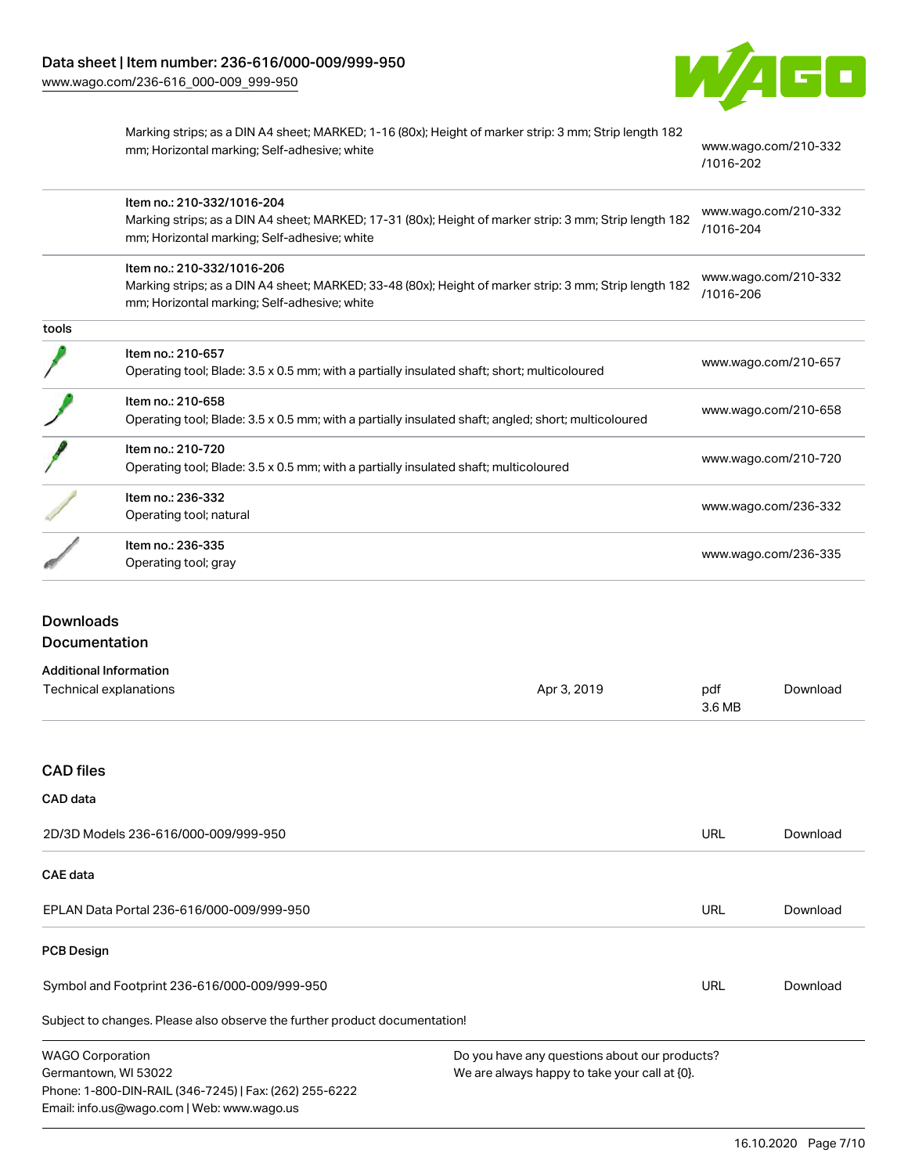

Marking strips; as a DIN A4 sheet; MARKED; 1-16 (80x); Height of marker strip: 3 mm; Strip length 182 mm; Horizontal marking; Self-adhesive; white [www.wago.com/210-332](http://www.wago.com/210-332/1016-202)

[/1016-202](http://www.wago.com/210-332/1016-202)

| Item no.: 210-332/1016-204<br>Marking strips; as a DIN A4 sheet; MARKED; 17-31 (80x); Height of marker strip: 3 mm; Strip length 182<br>mm; Horizontal marking; Self-adhesive; white | www.wago.com/210-332<br>/1016-204 |
|--------------------------------------------------------------------------------------------------------------------------------------------------------------------------------------|-----------------------------------|
| Item no.: 210-332/1016-206<br>Marking strips; as a DIN A4 sheet; MARKED; 33-48 (80x); Height of marker strip: 3 mm; Strip length 182<br>mm; Horizontal marking; Self-adhesive; white | www.wago.com/210-332<br>/1016-206 |
|                                                                                                                                                                                      |                                   |
| Item no.: 210-657<br>Operating tool; Blade: 3.5 x 0.5 mm; with a partially insulated shaft; short; multicoloured                                                                     | www.wago.com/210-657              |
| Item no.: 210-658<br>Operating tool; Blade: 3.5 x 0.5 mm; with a partially insulated shaft; angled; short; multicoloured                                                             | www.wago.com/210-658              |
| Item no.: 210-720<br>Operating tool; Blade: 3.5 x 0.5 mm; with a partially insulated shaft; multicoloured                                                                            | www.wago.com/210-720              |
| Item no.: 236-332<br>Operating tool; natural                                                                                                                                         | www.wago.com/236-332              |
| Item no.: 236-335<br>Operating tool; gray                                                                                                                                            | www.wago.com/236-335              |
|                                                                                                                                                                                      |                                   |

# Downloads Documentation

| <b>Additional Information</b>                                              |                                               |               |          |
|----------------------------------------------------------------------------|-----------------------------------------------|---------------|----------|
| Technical explanations                                                     | Apr 3, 2019                                   | pdf<br>3.6 MB | Download |
|                                                                            |                                               |               |          |
| <b>CAD files</b>                                                           |                                               |               |          |
| CAD data                                                                   |                                               |               |          |
| 2D/3D Models 236-616/000-009/999-950                                       |                                               | URL           | Download |
| <b>CAE</b> data                                                            |                                               |               |          |
| EPLAN Data Portal 236-616/000-009/999-950                                  |                                               | URL           | Download |
| <b>PCB Design</b>                                                          |                                               |               |          |
| Symbol and Footprint 236-616/000-009/999-950                               |                                               | URL           | Download |
| Subject to changes. Please also observe the further product documentation! |                                               |               |          |
| <b>WAGO Corporation</b>                                                    | Do you have any questions about our products? |               |          |
| Germantown, WI 53022                                                       | We are always happy to take your call at {0}. |               |          |
| Phone: 1-800-DIN-RAIL (346-7245)   Fax: (262) 255-6222                     |                                               |               |          |
| Email: info.us@wago.com   Web: www.wago.us                                 |                                               |               |          |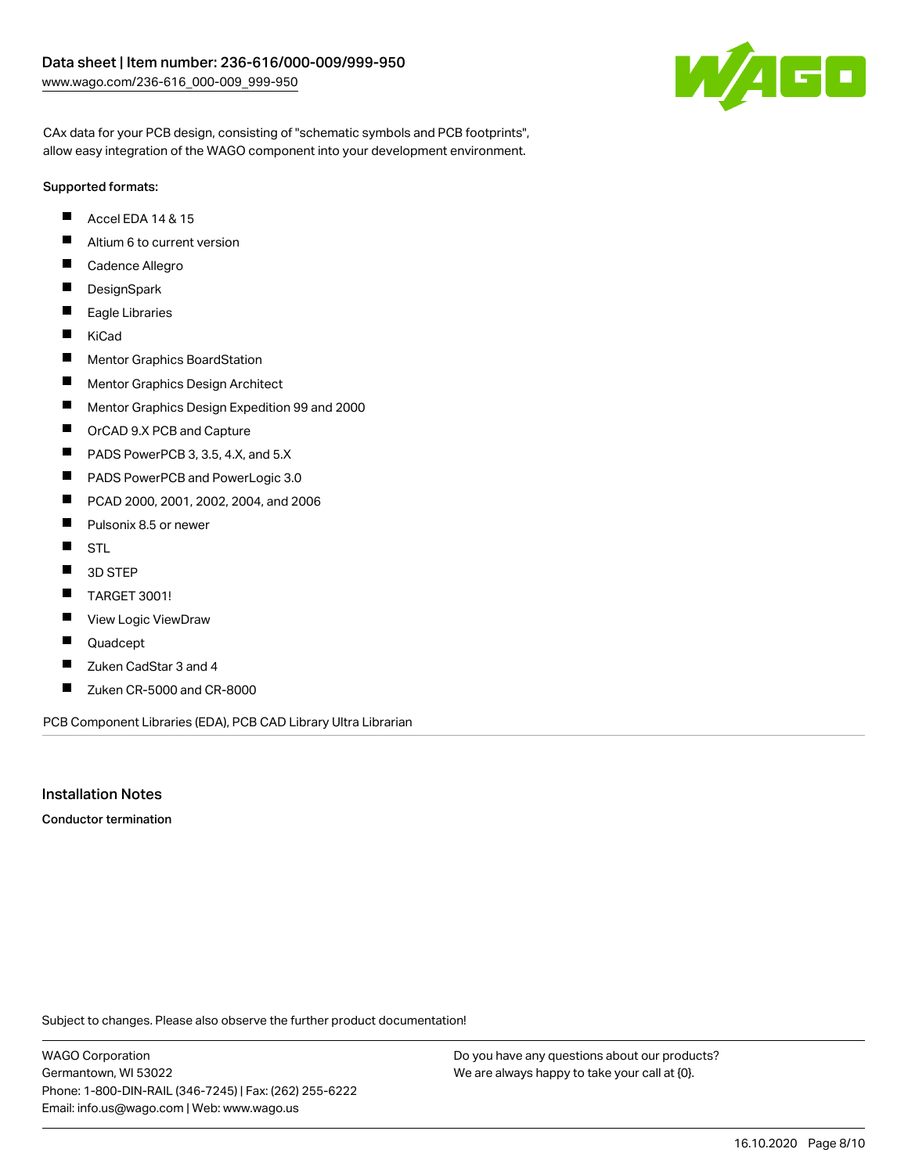

CAx data for your PCB design, consisting of "schematic symbols and PCB footprints", allow easy integration of the WAGO component into your development environment.

## Supported formats:

- $\blacksquare$ Accel EDA 14 & 15
- $\blacksquare$ Altium 6 to current version
- $\blacksquare$ Cadence Allegro
- $\blacksquare$ **DesignSpark**
- $\blacksquare$ Eagle Libraries
- $\blacksquare$ KiCad
- $\blacksquare$ Mentor Graphics BoardStation
- $\blacksquare$ Mentor Graphics Design Architect
- $\blacksquare$ Mentor Graphics Design Expedition 99 and 2000
- П OrCAD 9.X PCB and Capture
- $\blacksquare$ PADS PowerPCB 3, 3.5, 4.X, and 5.X
- $\blacksquare$ PADS PowerPCB and PowerLogic 3.0
- $\blacksquare$ PCAD 2000, 2001, 2002, 2004, and 2006
- $\blacksquare$ Pulsonix 8.5 or newer
- $\blacksquare$ STL
- $\blacksquare$ 3D STEP
- $\blacksquare$ TARGET 3001!
- $\blacksquare$ View Logic ViewDraw
- П Quadcept
- П Zuken CadStar 3 and 4
- $\blacksquare$ Zuken CR-5000 and CR-8000

PCB Component Libraries (EDA), PCB CAD Library Ultra Librarian

## Installation Notes

Conductor termination

Subject to changes. Please also observe the further product documentation!

WAGO Corporation Germantown, WI 53022 Phone: 1-800-DIN-RAIL (346-7245) | Fax: (262) 255-6222 Email: info.us@wago.com | Web: www.wago.us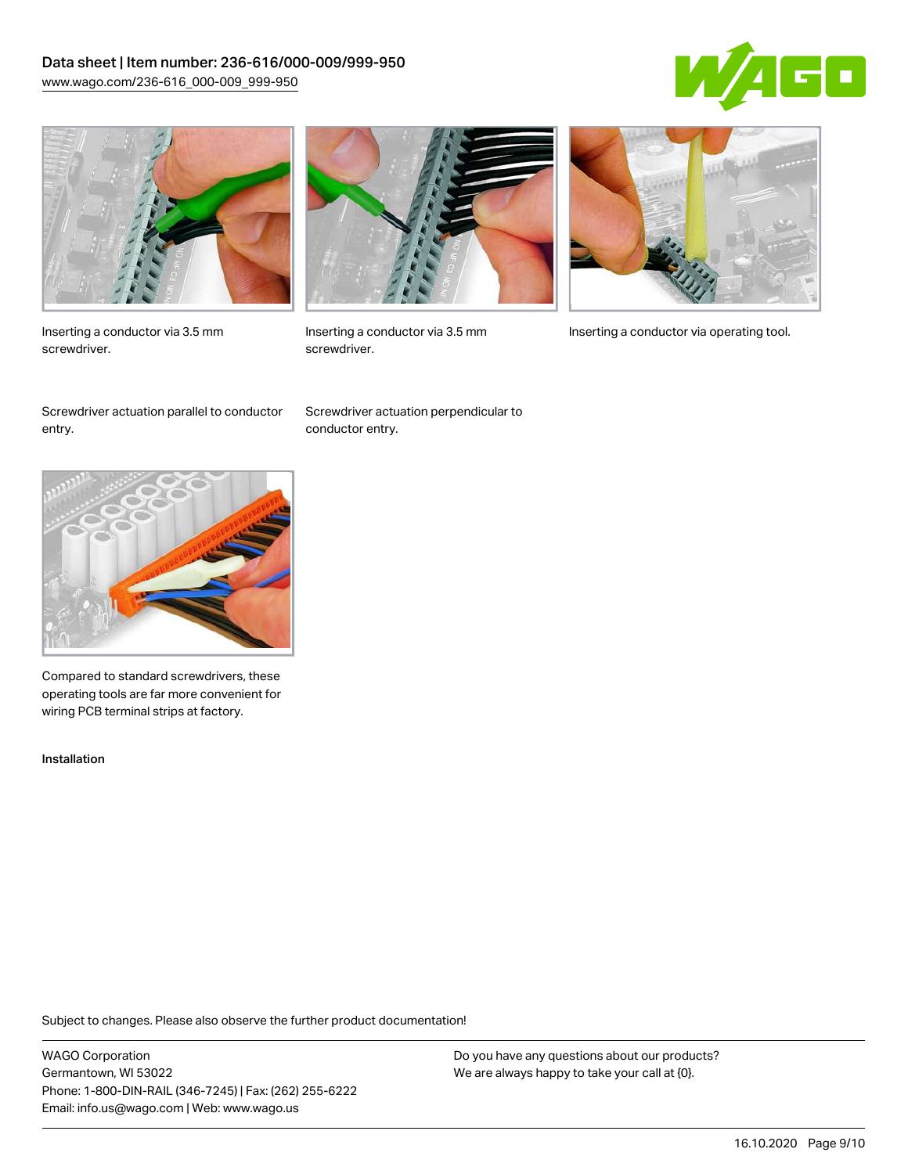# Data sheet | Item number: 236-616/000-009/999-950 [www.wago.com/236-616\\_000-009\\_999-950](http://www.wago.com/236-616_000-009_999-950)





Inserting a conductor via 3.5 mm screwdriver.



screwdriver.

Inserting a conductor via 3.5 mm Inserting a conductor via operating tool.

Screwdriver actuation parallel to conductor entry.

Screwdriver actuation perpendicular to conductor entry.



Compared to standard screwdrivers, these operating tools are far more convenient for wiring PCB terminal strips at factory.

Installation

Subject to changes. Please also observe the further product documentation!

WAGO Corporation Germantown, WI 53022 Phone: 1-800-DIN-RAIL (346-7245) | Fax: (262) 255-6222 Email: info.us@wago.com | Web: www.wago.us